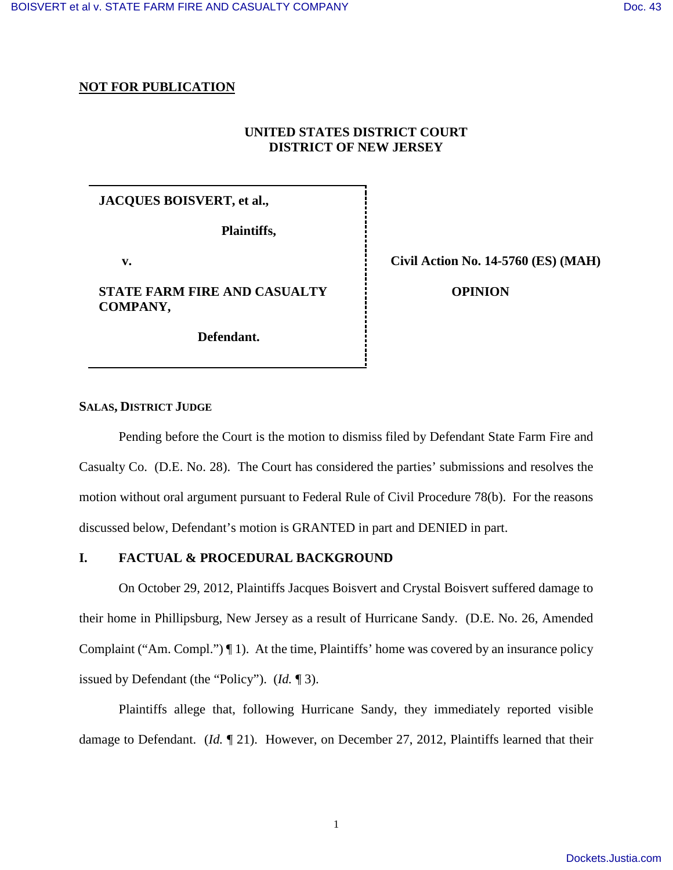# **NOT FOR PUBLICATION**

# **UNITED STATES DISTRICT COURT DISTRICT OF NEW JERSEY**

# **JACQUES BOISVERT, et al.,**

**Plaintiffs,**

 **v.** 

**STATE FARM FIRE AND CASUALTY COMPANY,** 

 **Defendant.**

**Civil Action No. 14-5760 (ES) (MAH)**

 **OPINION** 

## **SALAS, DISTRICT JUDGE**

Pending before the Court is the motion to dismiss filed by Defendant State Farm Fire and Casualty Co. (D.E. No. 28). The Court has considered the parties' submissions and resolves the motion without oral argument pursuant to Federal Rule of Civil Procedure 78(b). For the reasons discussed below, Defendant's motion is GRANTED in part and DENIED in part.

## **I. FACTUAL & PROCEDURAL BACKGROUND**

On October 29, 2012, Plaintiffs Jacques Boisvert and Crystal Boisvert suffered damage to their home in Phillipsburg, New Jersey as a result of Hurricane Sandy. (D.E. No. 26, Amended Complaint ("Am. Compl.") ¶ 1). At the time, Plaintiffs' home was covered by an insurance policy issued by Defendant (the "Policy"). (*Id.* ¶ 3).

Plaintiffs allege that, following Hurricane Sandy, they immediately reported visible damage to Defendant. (*Id.* ¶ 21). However, on December 27, 2012, Plaintiffs learned that their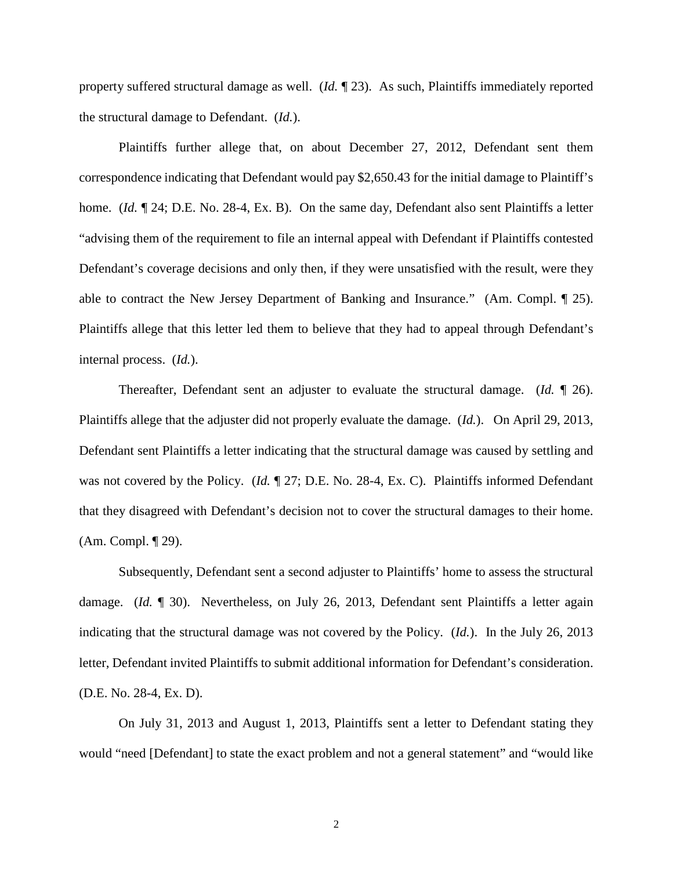property suffered structural damage as well. (*Id.* ¶ 23). As such, Plaintiffs immediately reported the structural damage to Defendant. (*Id.*).

Plaintiffs further allege that, on about December 27, 2012, Defendant sent them correspondence indicating that Defendant would pay \$2,650.43 for the initial damage to Plaintiff's home. *(Id.*  $\P$  24; D.E. No. 28-4, Ex. B). On the same day, Defendant also sent Plaintiffs a letter "advising them of the requirement to file an internal appeal with Defendant if Plaintiffs contested Defendant's coverage decisions and only then, if they were unsatisfied with the result, were they able to contract the New Jersey Department of Banking and Insurance." (Am. Compl. ¶ 25). Plaintiffs allege that this letter led them to believe that they had to appeal through Defendant's internal process. (*Id.*).

Thereafter, Defendant sent an adjuster to evaluate the structural damage. (*Id.* ¶ 26). Plaintiffs allege that the adjuster did not properly evaluate the damage. (*Id.*). On April 29, 2013, Defendant sent Plaintiffs a letter indicating that the structural damage was caused by settling and was not covered by the Policy. (*Id.*  $\mathbb{I}$  27; D.E. No. 28-4, Ex. C). Plaintiffs informed Defendant that they disagreed with Defendant's decision not to cover the structural damages to their home. (Am. Compl. ¶ 29).

 Subsequently, Defendant sent a second adjuster to Plaintiffs' home to assess the structural damage. (*Id.* ¶ 30). Nevertheless, on July 26, 2013, Defendant sent Plaintiffs a letter again indicating that the structural damage was not covered by the Policy. (*Id.*). In the July 26, 2013 letter, Defendant invited Plaintiffs to submit additional information for Defendant's consideration. (D.E. No. 28-4, Ex. D).

On July 31, 2013 and August 1, 2013, Plaintiffs sent a letter to Defendant stating they would "need [Defendant] to state the exact problem and not a general statement" and "would like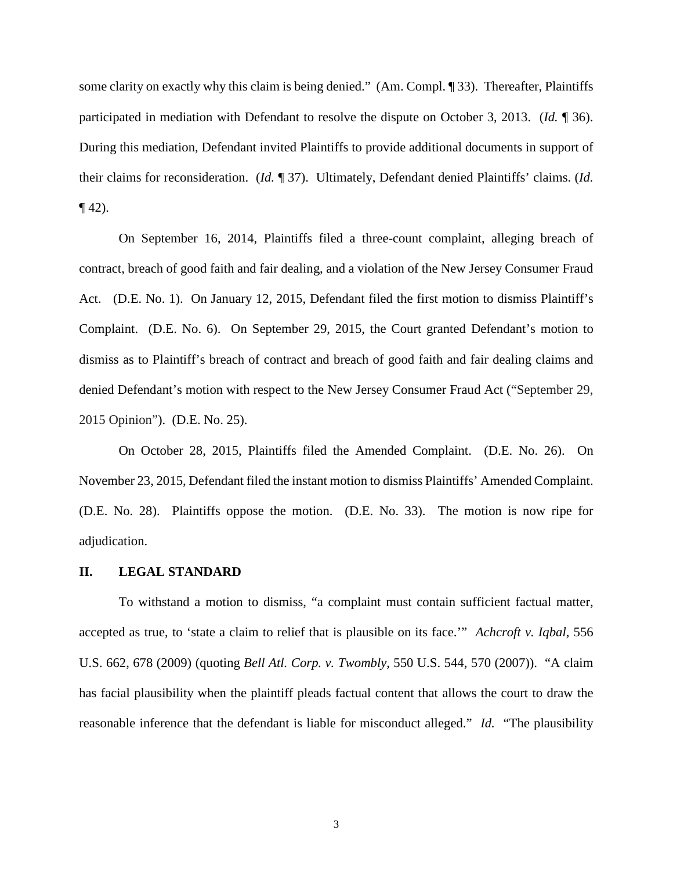some clarity on exactly why this claim is being denied." (Am. Compl. ¶ 33). Thereafter, Plaintiffs participated in mediation with Defendant to resolve the dispute on October 3, 2013. (*Id.* ¶ 36). During this mediation, Defendant invited Plaintiffs to provide additional documents in support of their claims for reconsideration. (*Id.* ¶ 37). Ultimately, Defendant denied Plaintiffs' claims. (*Id.*   $\P$  42).

On September 16, 2014, Plaintiffs filed a three-count complaint, alleging breach of contract, breach of good faith and fair dealing, and a violation of the New Jersey Consumer Fraud Act. (D.E. No. 1). On January 12, 2015, Defendant filed the first motion to dismiss Plaintiff's Complaint. (D.E. No. 6). On September 29, 2015, the Court granted Defendant's motion to dismiss as to Plaintiff's breach of contract and breach of good faith and fair dealing claims and denied Defendant's motion with respect to the New Jersey Consumer Fraud Act ("September 29, 2015 Opinion"). (D.E. No. 25).

On October 28, 2015, Plaintiffs filed the Amended Complaint. (D.E. No. 26). On November 23, 2015, Defendant filed the instant motion to dismiss Plaintiffs' Amended Complaint. (D.E. No. 28). Plaintiffs oppose the motion. (D.E. No. 33). The motion is now ripe for adjudication.

#### **II. LEGAL STANDARD**

To withstand a motion to dismiss, "a complaint must contain sufficient factual matter, accepted as true, to 'state a claim to relief that is plausible on its face.'" *Achcroft v. Iqbal*, 556 U.S. 662, 678 (2009) (quoting *Bell Atl. Corp. v. Twombly*, 550 U.S. 544, 570 (2007)). "A claim has facial plausibility when the plaintiff pleads factual content that allows the court to draw the reasonable inference that the defendant is liable for misconduct alleged." *Id.* "The plausibility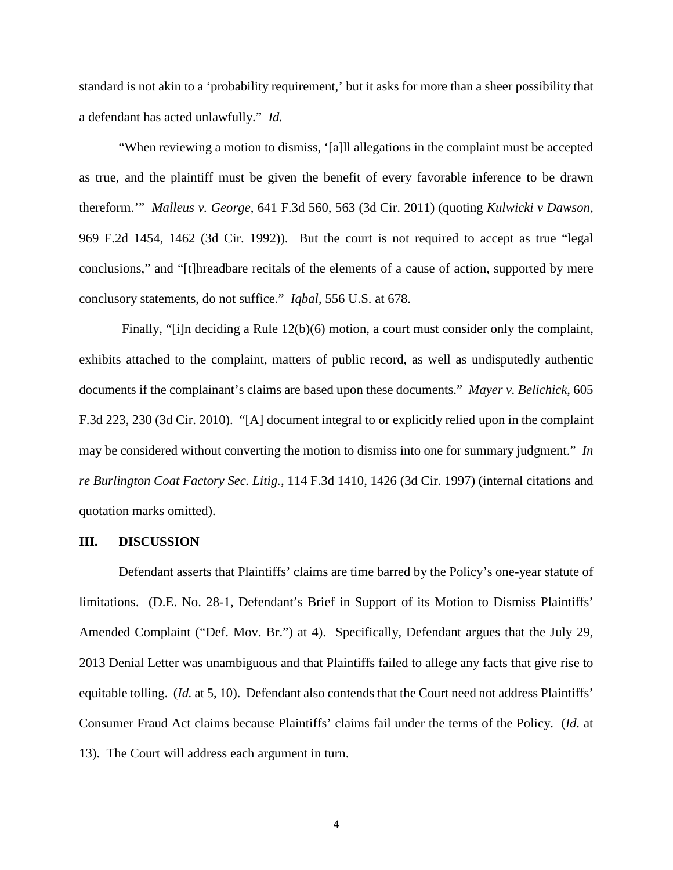standard is not akin to a 'probability requirement,' but it asks for more than a sheer possibility that a defendant has acted unlawfully." *Id.* 

"When reviewing a motion to dismiss, '[a]ll allegations in the complaint must be accepted as true, and the plaintiff must be given the benefit of every favorable inference to be drawn thereform.'" *Malleus v. George*, 641 F.3d 560, 563 (3d Cir. 2011) (quoting *Kulwicki v Dawson*, 969 F.2d 1454, 1462 (3d Cir. 1992)). But the court is not required to accept as true "legal conclusions," and "[t]hreadbare recitals of the elements of a cause of action, supported by mere conclusory statements, do not suffice." *Iqbal*, 556 U.S. at 678.

Finally, "[i]n deciding a Rule 12(b)(6) motion, a court must consider only the complaint, exhibits attached to the complaint, matters of public record, as well as undisputedly authentic documents if the complainant's claims are based upon these documents." *Mayer v. Belichick*, 605 F.3d 223, 230 (3d Cir. 2010). "[A] document integral to or explicitly relied upon in the complaint may be considered without converting the motion to dismiss into one for summary judgment." *In re Burlington Coat Factory Sec. Litig.*, 114 F.3d 1410, 1426 (3d Cir. 1997) (internal citations and quotation marks omitted).

#### **III. DISCUSSION**

Defendant asserts that Plaintiffs' claims are time barred by the Policy's one-year statute of limitations. (D.E. No. 28-1, Defendant's Brief in Support of its Motion to Dismiss Plaintiffs' Amended Complaint ("Def. Mov. Br.") at 4). Specifically, Defendant argues that the July 29, 2013 Denial Letter was unambiguous and that Plaintiffs failed to allege any facts that give rise to equitable tolling. (*Id.* at 5, 10). Defendant also contends that the Court need not address Plaintiffs' Consumer Fraud Act claims because Plaintiffs' claims fail under the terms of the Policy. (*Id.* at 13). The Court will address each argument in turn.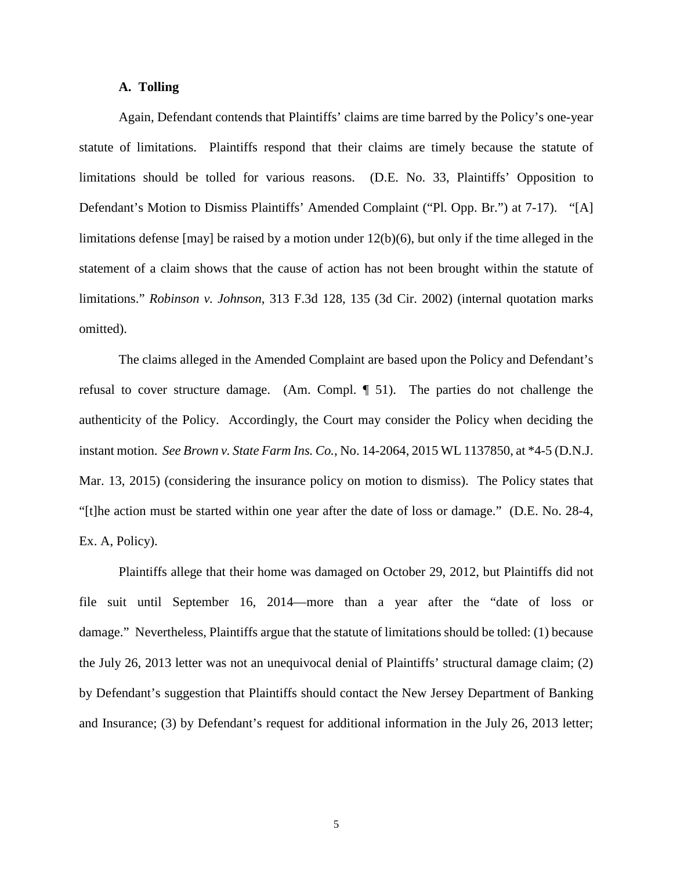### **A. Tolling**

Again, Defendant contends that Plaintiffs' claims are time barred by the Policy's one-year statute of limitations. Plaintiffs respond that their claims are timely because the statute of limitations should be tolled for various reasons. (D.E. No. 33, Plaintiffs' Opposition to Defendant's Motion to Dismiss Plaintiffs' Amended Complaint ("Pl. Opp. Br.") at 7-17). "[A] limitations defense [may] be raised by a motion under 12(b)(6), but only if the time alleged in the statement of a claim shows that the cause of action has not been brought within the statute of limitations." *Robinson v. Johnson*, 313 F.3d 128, 135 (3d Cir. 2002) (internal quotation marks omitted).

The claims alleged in the Amended Complaint are based upon the Policy and Defendant's refusal to cover structure damage. (Am. Compl. ¶ 51). The parties do not challenge the authenticity of the Policy. Accordingly, the Court may consider the Policy when deciding the instant motion. *See Brown v. State Farm Ins. Co.*, No. 14-2064, 2015 WL 1137850, at \*4-5 (D.N.J. Mar. 13, 2015) (considering the insurance policy on motion to dismiss). The Policy states that "[t]he action must be started within one year after the date of loss or damage." (D.E. No. 28-4, Ex. A, Policy).

Plaintiffs allege that their home was damaged on October 29, 2012, but Plaintiffs did not file suit until September 16, 2014—more than a year after the "date of loss or damage." Nevertheless, Plaintiffs argue that the statute of limitations should be tolled: (1) because the July 26, 2013 letter was not an unequivocal denial of Plaintiffs' structural damage claim; (2) by Defendant's suggestion that Plaintiffs should contact the New Jersey Department of Banking and Insurance; (3) by Defendant's request for additional information in the July 26, 2013 letter;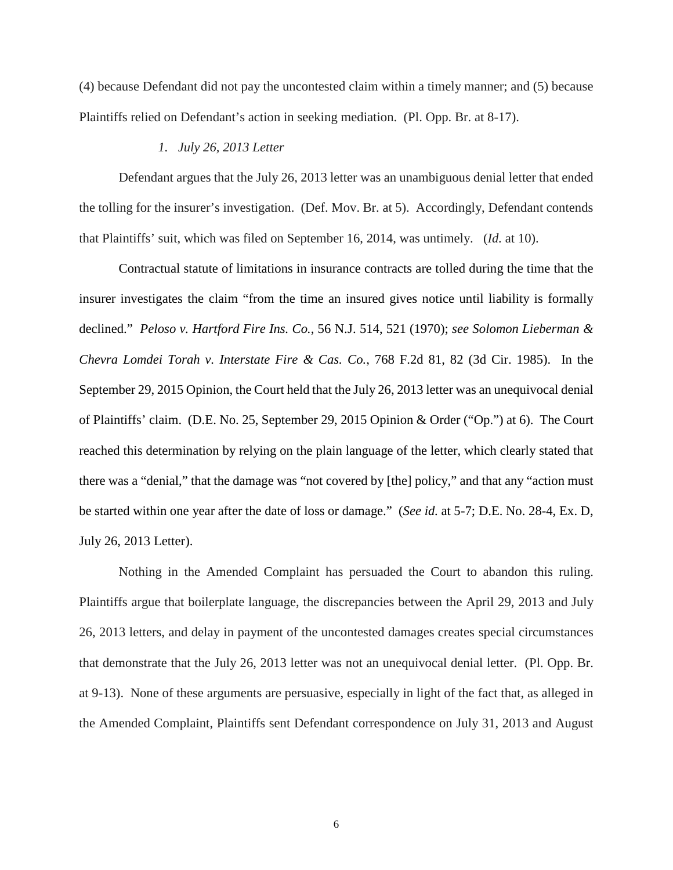(4) because Defendant did not pay the uncontested claim within a timely manner; and (5) because Plaintiffs relied on Defendant's action in seeking mediation. (Pl. Opp. Br. at 8-17).

#### *1. July 26, 2013 Letter*

Defendant argues that the July 26, 2013 letter was an unambiguous denial letter that ended the tolling for the insurer's investigation. (Def. Mov. Br. at 5). Accordingly, Defendant contends that Plaintiffs' suit, which was filed on September 16, 2014, was untimely. (*Id.* at 10).

Contractual statute of limitations in insurance contracts are tolled during the time that the insurer investigates the claim "from the time an insured gives notice until liability is formally declined." *Peloso v. Hartford Fire Ins. Co.*, 56 N.J. 514, 521 (1970); *see Solomon Lieberman & Chevra Lomdei Torah v. Interstate Fire & Cas. Co.*, 768 F.2d 81, 82 (3d Cir. 1985). In the September 29, 2015 Opinion, the Court held that the July 26, 2013 letter was an unequivocal denial of Plaintiffs' claim. (D.E. No. 25, September 29, 2015 Opinion & Order ("Op.") at 6). The Court reached this determination by relying on the plain language of the letter, which clearly stated that there was a "denial," that the damage was "not covered by [the] policy," and that any "action must be started within one year after the date of loss or damage." (*See id.* at 5-7; D.E. No. 28-4, Ex. D, July 26, 2013 Letter).

Nothing in the Amended Complaint has persuaded the Court to abandon this ruling. Plaintiffs argue that boilerplate language, the discrepancies between the April 29, 2013 and July 26, 2013 letters, and delay in payment of the uncontested damages creates special circumstances that demonstrate that the July 26, 2013 letter was not an unequivocal denial letter. (Pl. Opp. Br. at 9-13). None of these arguments are persuasive, especially in light of the fact that, as alleged in the Amended Complaint, Plaintiffs sent Defendant correspondence on July 31, 2013 and August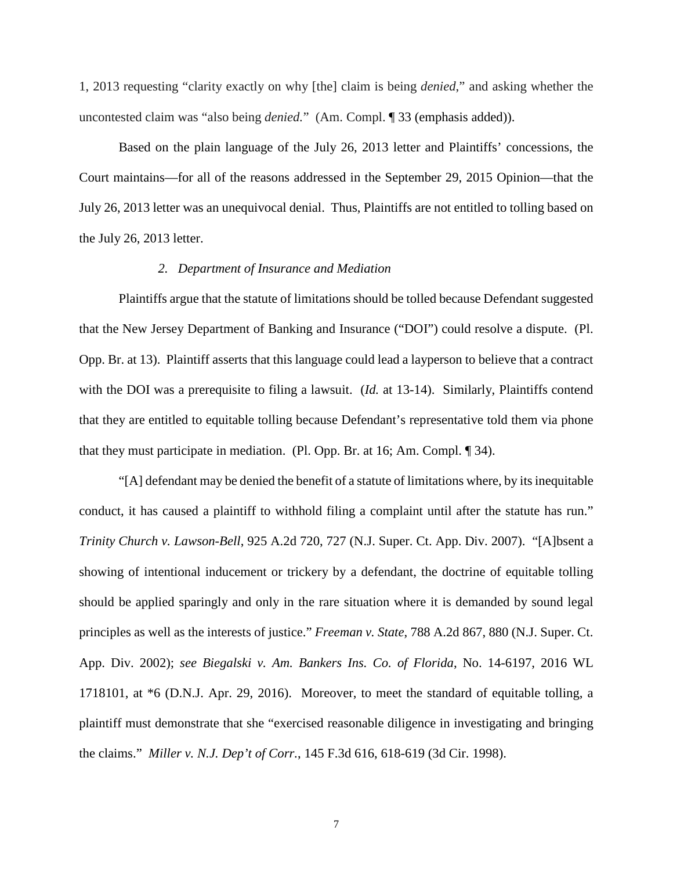1, 2013 requesting "clarity exactly on why [the] claim is being *denied*," and asking whether the uncontested claim was "also being *denied.*" (Am. Compl. ¶ 33 (emphasis added)).

Based on the plain language of the July 26, 2013 letter and Plaintiffs' concessions, the Court maintains—for all of the reasons addressed in the September 29, 2015 Opinion—that the July 26, 2013 letter was an unequivocal denial. Thus, Plaintiffs are not entitled to tolling based on the July 26, 2013 letter.

#### *2. Department of Insurance and Mediation*

Plaintiffs argue that the statute of limitations should be tolled because Defendant suggested that the New Jersey Department of Banking and Insurance ("DOI") could resolve a dispute. (Pl. Opp. Br. at 13). Plaintiff asserts that this language could lead a layperson to believe that a contract with the DOI was a prerequisite to filing a lawsuit. (*Id.* at 13-14). Similarly, Plaintiffs contend that they are entitled to equitable tolling because Defendant's representative told them via phone that they must participate in mediation. (Pl. Opp. Br. at 16; Am. Compl. ¶ 34).

"[A] defendant may be denied the benefit of a statute of limitations where, by its inequitable conduct, it has caused a plaintiff to withhold filing a complaint until after the statute has run." *Trinity Church v. Lawson-Bell*, 925 A.2d 720, 727 (N.J. Super. Ct. App. Div. 2007). "[A]bsent a showing of intentional inducement or trickery by a defendant, the doctrine of equitable tolling should be applied sparingly and only in the rare situation where it is demanded by sound legal principles as well as the interests of justice." *Freeman v. State*, 788 A.2d 867, 880 (N.J. Super. Ct. App. Div. 2002); *see Biegalski v. Am. Bankers Ins. Co. of Florida*, No. 14-6197, 2016 WL 1718101, at \*6 (D.N.J. Apr. 29, 2016). Moreover, to meet the standard of equitable tolling, a plaintiff must demonstrate that she "exercised reasonable diligence in investigating and bringing the claims." *Miller v. N.J. Dep't of Corr.*, 145 F.3d 616, 618-619 (3d Cir. 1998).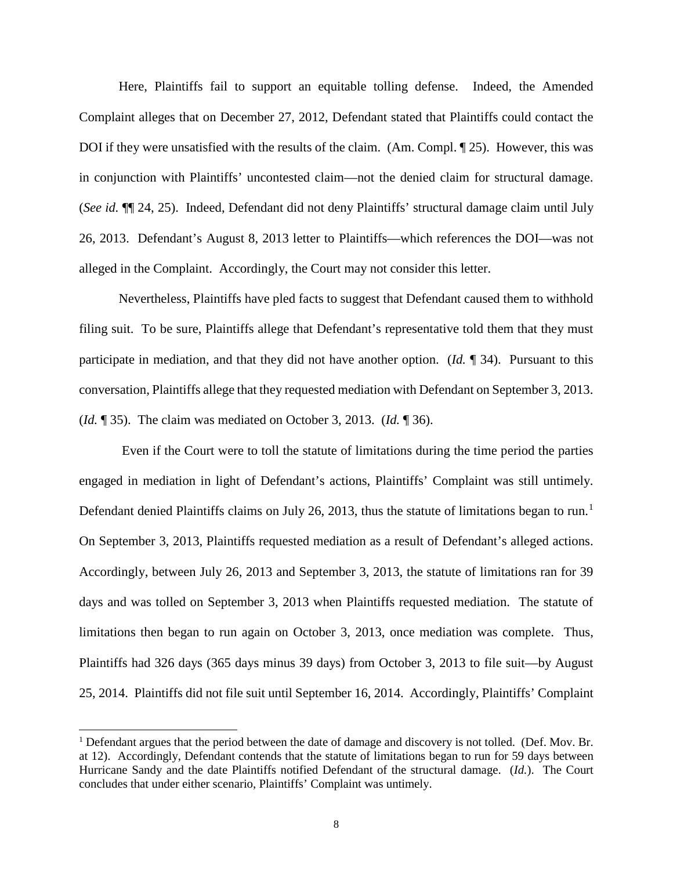Here, Plaintiffs fail to support an equitable tolling defense. Indeed, the Amended Complaint alleges that on December 27, 2012, Defendant stated that Plaintiffs could contact the DOI if they were unsatisfied with the results of the claim. (Am. Compl. ¶ 25). However, this was in conjunction with Plaintiffs' uncontested claim—not the denied claim for structural damage. (*See id.* ¶¶ 24, 25). Indeed, Defendant did not deny Plaintiffs' structural damage claim until July 26, 2013. Defendant's August 8, 2013 letter to Plaintiffs—which references the DOI—was not alleged in the Complaint. Accordingly, the Court may not consider this letter.

Nevertheless, Plaintiffs have pled facts to suggest that Defendant caused them to withhold filing suit. To be sure, Plaintiffs allege that Defendant's representative told them that they must participate in mediation, and that they did not have another option. (*Id.* ¶ 34). Pursuant to this conversation, Plaintiffs allege that they requested mediation with Defendant on September 3, 2013. (*Id.* ¶ 35). The claim was mediated on October 3, 2013. (*Id.* ¶ 36).

Even if the Court were to toll the statute of limitations during the time period the parties engaged in mediation in light of Defendant's actions, Plaintiffs' Complaint was still untimely. Defendant denied Plaintiffs claims on July 26, 20[1](#page-7-0)3, thus the statute of limitations began to run.<sup>1</sup> On September 3, 2013, Plaintiffs requested mediation as a result of Defendant's alleged actions. Accordingly, between July 26, 2013 and September 3, 2013, the statute of limitations ran for 39 days and was tolled on September 3, 2013 when Plaintiffs requested mediation. The statute of limitations then began to run again on October 3, 2013, once mediation was complete. Thus, Plaintiffs had 326 days (365 days minus 39 days) from October 3, 2013 to file suit—by August 25, 2014. Plaintiffs did not file suit until September 16, 2014. Accordingly, Plaintiffs' Complaint

-

<span id="page-7-0"></span><sup>&</sup>lt;sup>1</sup> Defendant argues that the period between the date of damage and discovery is not tolled. (Def. Mov. Br. at 12). Accordingly, Defendant contends that the statute of limitations began to run for 59 days between Hurricane Sandy and the date Plaintiffs notified Defendant of the structural damage. (*Id.*). The Court concludes that under either scenario, Plaintiffs' Complaint was untimely.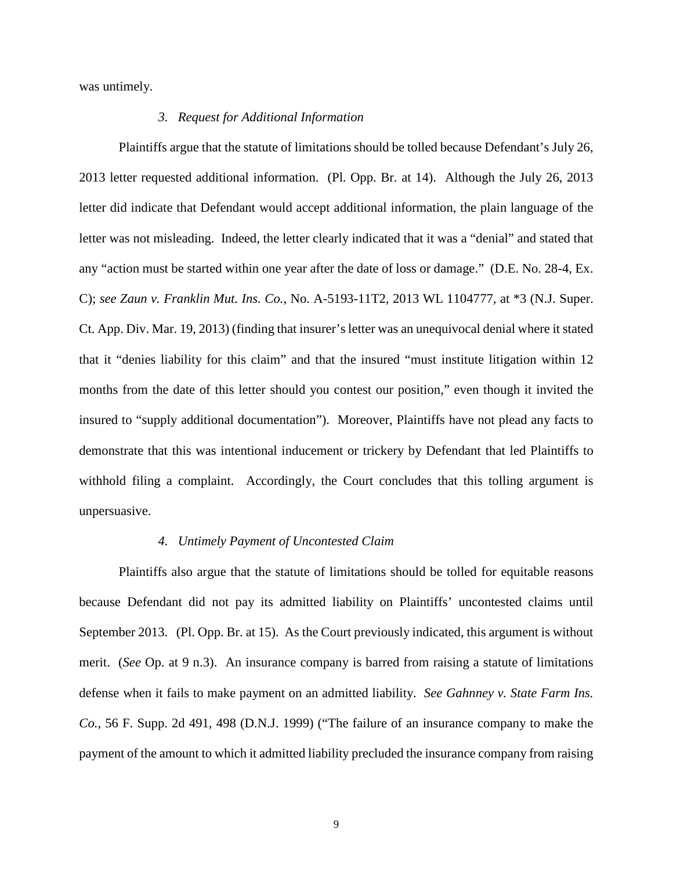was untimely.

### *3. Request for Additional Information*

Plaintiffs argue that the statute of limitations should be tolled because Defendant's July 26, 2013 letter requested additional information. (Pl. Opp. Br. at 14). Although the July 26, 2013 letter did indicate that Defendant would accept additional information, the plain language of the letter was not misleading. Indeed, the letter clearly indicated that it was a "denial" and stated that any "action must be started within one year after the date of loss or damage." (D.E. No. 28-4, Ex. C); *see Zaun v. Franklin Mut. Ins. Co.*, No. A-5193-11T2, 2013 WL 1104777, at \*3 (N.J. Super. Ct. App. Div. Mar. 19, 2013) (finding that insurer's letter was an unequivocal denial where it stated that it "denies liability for this claim" and that the insured "must institute litigation within 12 months from the date of this letter should you contest our position," even though it invited the insured to "supply additional documentation"). Moreover, Plaintiffs have not plead any facts to demonstrate that this was intentional inducement or trickery by Defendant that led Plaintiffs to withhold filing a complaint. Accordingly, the Court concludes that this tolling argument is unpersuasive.

#### *4. Untimely Payment of Uncontested Claim*

Plaintiffs also argue that the statute of limitations should be tolled for equitable reasons because Defendant did not pay its admitted liability on Plaintiffs' uncontested claims until September 2013. (Pl. Opp. Br. at 15). As the Court previously indicated, this argument is without merit. (*See* Op. at 9 n.3). An insurance company is barred from raising a statute of limitations defense when it fails to make payment on an admitted liability. *See Gahnney v. State Farm Ins. Co.*, 56 F. Supp. 2d 491, 498 (D.N.J. 1999) ("The failure of an insurance company to make the payment of the amount to which it admitted liability precluded the insurance company from raising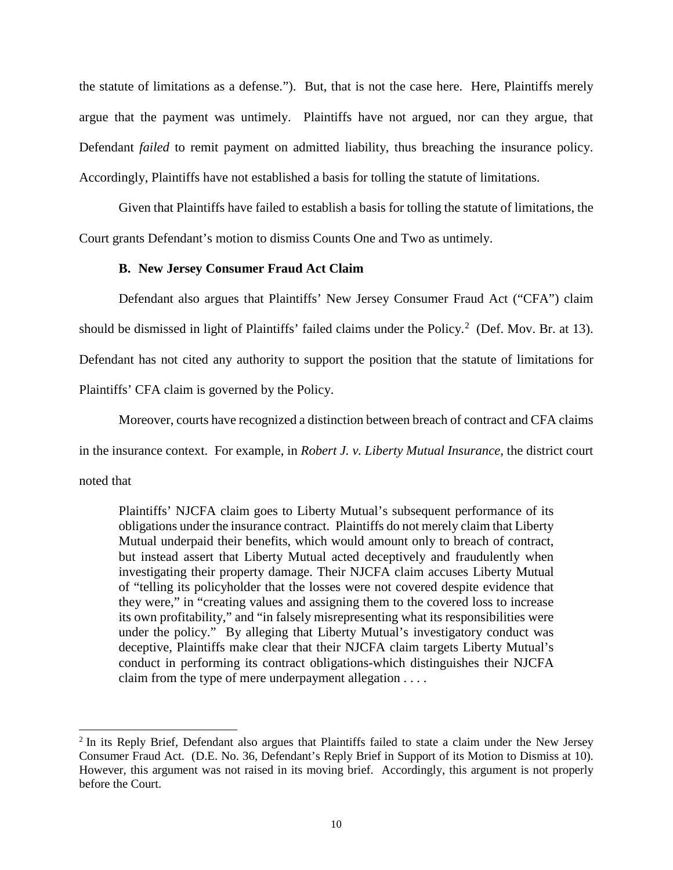the statute of limitations as a defense."). But, that is not the case here. Here, Plaintiffs merely argue that the payment was untimely. Plaintiffs have not argued, nor can they argue, that Defendant *failed* to remit payment on admitted liability, thus breaching the insurance policy. Accordingly, Plaintiffs have not established a basis for tolling the statute of limitations.

Given that Plaintiffs have failed to establish a basis for tolling the statute of limitations, the Court grants Defendant's motion to dismiss Counts One and Two as untimely.

### **B. New Jersey Consumer Fraud Act Claim**

Defendant also argues that Plaintiffs' New Jersey Consumer Fraud Act ("CFA") claim should be dismissed in light of Plaintiffs' failed claims under the Policy.<sup>[2](#page-9-0)</sup> (Def. Mov. Br. at 13). Defendant has not cited any authority to support the position that the statute of limitations for Plaintiffs' CFA claim is governed by the Policy.

Moreover, courts have recognized a distinction between breach of contract and CFA claims

in the insurance context. For example, in *Robert J. v. Liberty Mutual Insurance*, the district court

noted that

 $\overline{a}$ 

Plaintiffs' NJCFA claim goes to Liberty Mutual's subsequent performance of its obligations under the insurance contract. Plaintiffs do not merely claim that Liberty Mutual underpaid their benefits, which would amount only to breach of contract, but instead assert that Liberty Mutual acted deceptively and fraudulently when investigating their property damage. Their NJCFA claim accuses Liberty Mutual of "telling its policyholder that the losses were not covered despite evidence that they were," in "creating values and assigning them to the covered loss to increase its own profitability," and "in falsely misrepresenting what its responsibilities were under the policy." By alleging that Liberty Mutual's investigatory conduct was deceptive, Plaintiffs make clear that their NJCFA claim targets Liberty Mutual's conduct in performing its contract obligations-which distinguishes their NJCFA claim from the type of mere underpayment allegation . . . .

<span id="page-9-0"></span><sup>&</sup>lt;sup>2</sup> In its Reply Brief, Defendant also argues that Plaintiffs failed to state a claim under the New Jersey Consumer Fraud Act. (D.E. No. 36, Defendant's Reply Brief in Support of its Motion to Dismiss at 10). However, this argument was not raised in its moving brief. Accordingly, this argument is not properly before the Court.